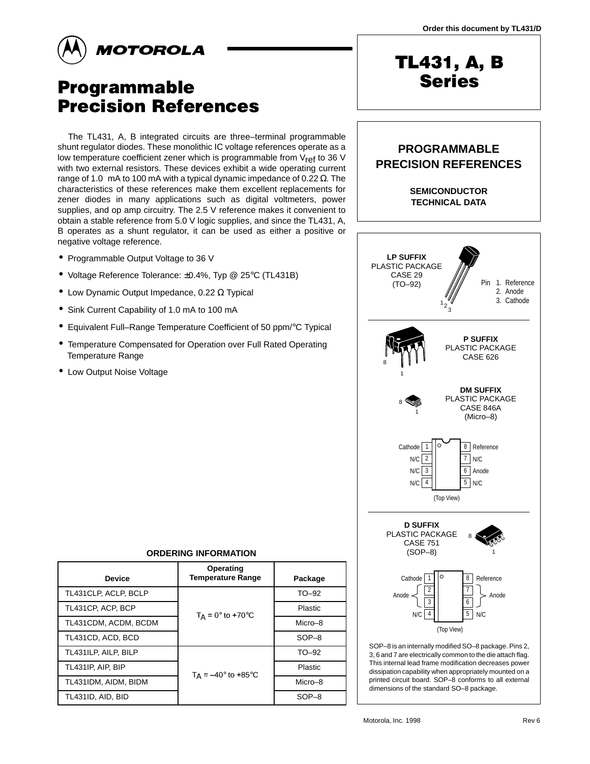

# **Programmable Precision References**

The TL431, A, B integrated circuits are three–terminal programmable shunt regulator diodes. These monolithic IC voltage references operate as a low temperature coefficient zener which is programmable from V<sub>ref</sub> to 36 V with two external resistors. These devices exhibit a wide operating current range of 1.0 mA to 100 mA with a typical dynamic impedance of 0.22  $Ω$ . The characteristics of these references make them excellent replacements for zener diodes in many applications such as digital voltmeters, power supplies, and op amp circuitry. The 2.5 V reference makes it convenient to obtain a stable reference from 5.0 V logic supplies, and since the TL431, A, B operates as a shunt regulator, it can be used as either a positive or negative voltage reference.

- Programmable Output Voltage to 36 V
- Voltage Reference Tolerance: ±0.4%, Typ @ 25°C (TL431B)
- Low Dynamic Output Impedance,  $0.22 \Omega$  Typical
- Sink Current Capability of 1.0 mA to 100 mA
- Equivalent Full–Range Temperature Coefficient of 50 ppm/°C Typical
- Temperature Compensated for Operation over Full Rated Operating Temperature Range
- Low Output Noise Voltage

### **ORDERING INFORMATION**

| <b>Device</b>        | Operating<br><b>Temperature Range</b>  | Package |
|----------------------|----------------------------------------|---------|
| TL431CLP, ACLP, BCLP |                                        | $TO-92$ |
| TL431CP. ACP. BCP    | $T_A = 0^\circ$ to +70 $^\circ$ C      | Plastic |
| TL431CDM, ACDM, BCDM |                                        | Micro-8 |
| TL431CD, ACD, BCD    |                                        | $SOP-8$ |
| TL431ILP, AILP, BILP |                                        | $TO-92$ |
| TL431IP. AIP. BIP    |                                        | Plastic |
| TL431IDM, AIDM, BIDM | $T_A = -40^{\circ}$ to $+85^{\circ}$ C | Micro-8 |
| TL431ID, AID, BID    |                                        | $SOP-8$ |

## TL431, A, B **Series**

### **PROGRAMMABLE PRECISION REFERENCES**

**SEMICONDUCTOR TECHNICAL DATA**



This internal lead frame modification decreases power dissipation capability when appropriately mounted on a printed circuit board. SOP–8 conforms to all external dimensions of the standard SO–8 package.

© Motorola, Inc. 1998 Rev 6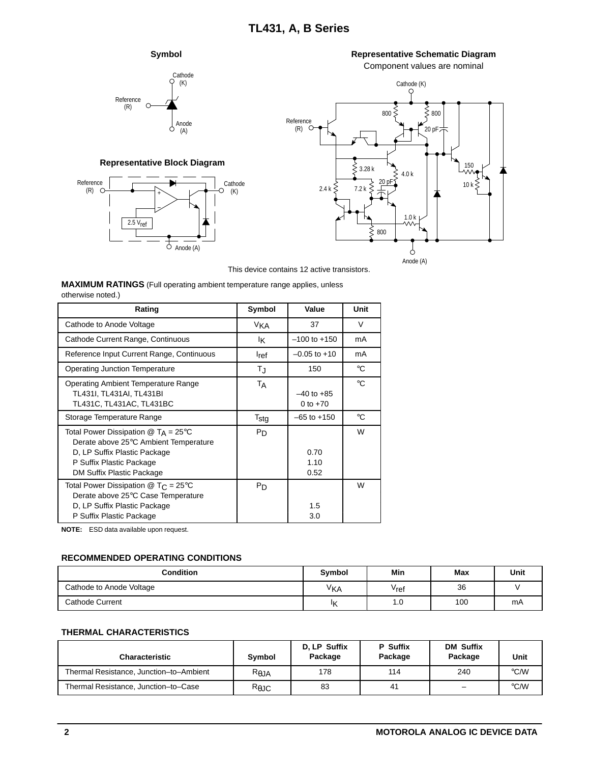### **Symbol**



**Representative Block Diagram**

– +

Ò

 $2.5 V_{ref}$ 

**Representative Schematic Diagram**

Component values are nominal



This device contains 12 active transistors.

**MAXIMUM RATINGS** (Full operating ambient temperature range applies, unless

Anode (A)

Cathode (K)

C

Reference (R)

 $\subset$ 

| Rating                                                                                                                                                                                      | Symbol           | Value                        | Unit |
|---------------------------------------------------------------------------------------------------------------------------------------------------------------------------------------------|------------------|------------------------------|------|
| Cathode to Anode Voltage                                                                                                                                                                    | VKA              | 37                           | V    |
| Cathode Current Range, Continuous                                                                                                                                                           | Ιĸ               | $-100$ to $+150$             | mA   |
| Reference Input Current Range, Continuous                                                                                                                                                   | Iref             | $-0.05$ to $+10$             | mA   |
| Operating Junction Temperature                                                                                                                                                              | T.J              | 150                          | °C   |
| Operating Ambient Temperature Range<br>TL431I, TL431AI, TL431BI<br>TL431C, TL431AC, TL431BC                                                                                                 | TA               | $-40$ to $+85$<br>0 to $+70$ | °€   |
| Storage Temperature Range                                                                                                                                                                   | $T_{\text{stg}}$ | $-65$ to $+150$              | °C   |
| Total Power Dissipation $\circledR$ T <sub>A</sub> = 25°C<br>Derate above 25°C Ambient Temperature<br>D, LP Suffix Plastic Package<br>P Suffix Plastic Package<br>DM Suffix Plastic Package | P <sub>D</sub>   | 0.70<br>1.10<br>0.52         | W    |
| Total Power Dissipation $\textcircled{a}$ T <sub>C</sub> = 25°C<br>Derate above 25°C Case Temperature<br>D, LP Suffix Plastic Package<br>P Suffix Plastic Package                           | P <sub>D</sub>   | 1.5<br>3.0                   | W    |

**NOTE:** ESD data available upon request.

### **RECOMMENDED OPERATING CONDITIONS**

| Condition                | <b>Symbol</b>         | Min                       | Max | Unit |
|--------------------------|-----------------------|---------------------------|-----|------|
| Cathode to Anode Voltage | <b>V<sub>KA</sub></b> | $\mathsf{v}_\mathsf{ref}$ | 36  |      |
| Cathode Current          | Ιĸ                    | 1.0                       | 100 | mA   |

### **THERMAL CHARACTERISTICS**

| <b>Characteristic</b>                   | Symbol         | D. LP Suffix<br>Package | P Suffix<br>Package | <b>DM Suffix</b><br>Package | Unit               |
|-----------------------------------------|----------------|-------------------------|---------------------|-----------------------------|--------------------|
| Thermal Resistance, Junction-to-Ambient | $R_{\theta$ JA | 178                     | 114                 | 240                         | $\rm ^{\circ}$ C/W |
| Thermal Resistance, Junction-to-Case    | $R_{\theta$ JC | 83                      | 41                  | $\overline{\phantom{0}}$    | °C/W               |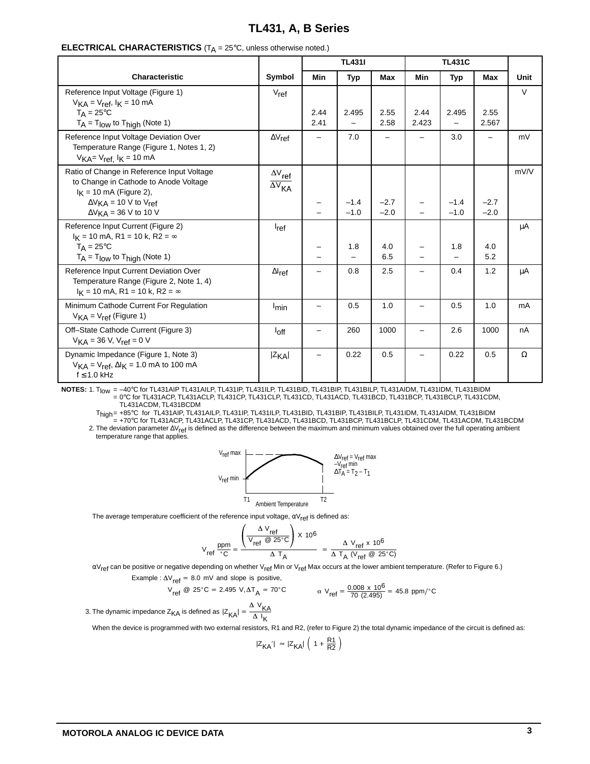### **ELECTRICAL CHARACTERISTICS** (T<sub>A</sub> = 25°C, unless otherwise noted.)

|                                                                                                                                              |                                                                       | <b>TL431I</b>            |                  |                  |               |                                   |                  |          |
|----------------------------------------------------------------------------------------------------------------------------------------------|-----------------------------------------------------------------------|--------------------------|------------------|------------------|---------------|-----------------------------------|------------------|----------|
| Characteristic                                                                                                                               | Symbol                                                                | <b>Min</b>               | <b>Typ</b>       | Max              | Min           | <b>Typ</b>                        | <b>Max</b>       | Unit     |
| Reference Input Voltage (Figure 1)<br>$V_{KA} = V_{ref}$ , $I_{K} = 10$ mA                                                                   | $V_{ref}$                                                             |                          |                  |                  |               |                                   |                  | $\vee$   |
| $T_A = 25^{\circ}C$<br>$T_A = T_{low}$ to $T_{high}$ (Note 1)                                                                                |                                                                       | 2.44<br>2.41             | 2.495            | 2.55<br>2.58     | 2.44<br>2.423 | 2.495<br>$\overline{\phantom{0}}$ | 2.55<br>2.567    |          |
| Reference Input Voltage Deviation Over<br>Temperature Range (Figure 1, Notes 1, 2)<br>$VKA = Vref. IK = 10 mA$                               | $\Delta V_{ref}$                                                      |                          | 7.0              |                  |               | 3.0                               |                  | mV       |
| Ratio of Change in Reference Input Voltage<br>to Change in Cathode to Anode Voltage<br>$I_K$ = 10 mA (Figure 2),                             | $\Delta V_{\text{ref}}$<br>$\overline{\Delta \mathsf{V}}_\mathsf{KA}$ |                          |                  |                  |               |                                   |                  | mV/V     |
| $\Delta V_{KA}$ = 10 V to $V_{ref}$<br>$\Delta V_{\text{KA}}$ = 36 V to 10 V                                                                 |                                                                       |                          | $-1.4$<br>$-1.0$ | $-2.7$<br>$-2.0$ |               | $-1.4$<br>$-1.0$                  | $-2.7$<br>$-2.0$ |          |
| Reference Input Current (Figure 2)<br>$I_K = 10$ mA, R1 = 10 k, R2 = $\infty$                                                                | <sup>l</sup> ref                                                      |                          |                  |                  |               |                                   |                  | μA       |
| $T_A = 25^{\circ}C$<br>$T_A = T_{low}$ to $T_{high}$ (Note 1)                                                                                |                                                                       |                          | 1.8              | 4.0<br>6.5       |               | 1.8                               | 4.0<br>5.2       |          |
| Reference Input Current Deviation Over<br>Temperature Range (Figure 2, Note 1, 4)<br>$I_K = 10$ mA, R1 = 10 k, R2 = $\infty$                 | $\Delta I_{\text{ref}}$                                               |                          | 0.8              | 2.5              | -             | 0.4                               | 1.2              | μA       |
| Minimum Cathode Current For Regulation<br>$V_{KA} = V_{ref}$ (Figure 1)                                                                      | I <sub>min</sub>                                                      |                          | 0.5              | 1.0              |               | 0.5                               | 1.0              | mA       |
| Off-State Cathode Current (Figure 3)<br>$V_{KA} = 36 V, V_{ref} = 0 V$                                                                       | $I_{\rm off}$                                                         |                          | 260              | 1000             |               | 2.6                               | 1000             | nA       |
| Dynamic Impedance (Figure 1, Note 3)<br>$V_{\text{KA}} = V_{\text{ref}}, \Delta I_{\text{K}} = 1.0 \text{ mA}$ to 100 mA<br>$f \leq 1.0$ kHz | $ Z_{KA} $                                                            | $\overline{\phantom{0}}$ | 0.22             | 0.5              |               | 0.22                              | 0.5              | $\Omega$ |

**NOTES:** 1. Tlow = –40°C for TL431AIP TL431AILP, TL431IP, TL431ILP, TL431BID, TL431BIP, TL431BILP, TL431AIDM, TL431IDM, TL431BIDM = 0°C for TL431ACP, TL431ACLP, TL431CP, TL431CLP, TL431CD, TL431ACD, TL431BCD, TL431BCP, TL431BCLP, TL431CDM,

TL431ACDM, TL431BCDM

Thigh= +85°C for TL431AIP, TL431AILP, TL431IP, TL431ILP, TL431BID, TL431BIP, TL431BILP, TL431IDM, TL431AIDM, TL431BIDM = +70°C for TL431ACP, TL431ACLP, TL431CP, TL431ACD, TL431BCD, TL431BCP, TL431BCLP, TL431CDM, TL431ACDM, TL431BCDM 2. The deviation parameter ∆V<sub>ref</sub> is defined as the difference between the maximum and minimum values obtained over the full operating ambient

temperature range that applies.



The average temperature coefficient of the reference input voltage,  $\alpha V_{ref}$  is defined as:

$$
V_{ref} \frac{ppm}{^{\circ}C} = \frac{\left(\frac{\Delta V_{ref}}{V_{ref} \text{ @ } 25^{\circ}C}\right) \times 10^{6}}{\Delta T_{A}} = \frac{\Delta V_{ref} \times 10^{6}}{\Delta T_{A} (V_{ref} \text{ @ } 25^{\circ}C)}
$$

αVref can be positive or negative depending on whether Vref Min or Vref Max occurs at the lower ambient temperature. (Refer to Figure 6.)

Example : 
$$
\Delta V_{ref} = 8.0
$$
 mV and slope is positive,  
\n
$$
V_{ref} \text{ @ } 25^{\circ}\text{C} = 2.495 \text{ V, } \Delta T_A = 70^{\circ}\text{C}
$$
\n
$$
\Delta V_{ref} = \frac{0.008 \times 10^6}{70 (2.495)} = 45.8 \text{ ppm}/^{\circ}\text{C}
$$

3. The dynamic impedance Z<sub>KA</sub> is defined as  $|Z_{\mathsf{KA}}| = \frac{\Delta \vee_{\mathsf{KA}}}{\Delta \cdot \mathsf{K}}$ 

When the device is programmed with two external resistors, R1 and R2, (refer to Figure 2) the total dynamic impedance of the circuit is defined as:

$$
|Z_{\text{KA}}'| \approx |Z_{\text{KA}}| \left( 1 + \frac{R1}{R2} \right)
$$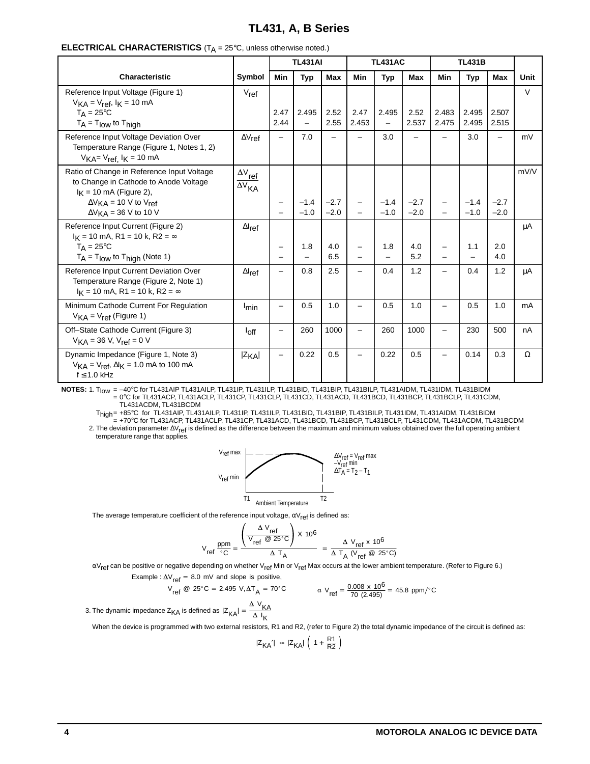| <b>ELECTRICAL CHARACTERISTICS</b> ( $T_A = 25^\circ$ C, unless otherwise noted.) |  |
|----------------------------------------------------------------------------------|--|
|----------------------------------------------------------------------------------|--|

|                                                                                                                                                                                                              |                                                                 | <b>TL431AI</b>           |                                 | <b>TL431AC</b>   |                          |                                   | <b>TL431B</b>    |                          |                                 |                          |        |
|--------------------------------------------------------------------------------------------------------------------------------------------------------------------------------------------------------------|-----------------------------------------------------------------|--------------------------|---------------------------------|------------------|--------------------------|-----------------------------------|------------------|--------------------------|---------------------------------|--------------------------|--------|
| <b>Characteristic</b>                                                                                                                                                                                        | Symbol                                                          | Min                      | Typ                             | Max              | Min                      | Typ                               | Max              | Min                      | Typ                             | Max                      | Unit   |
| Reference Input Voltage (Figure 1)<br>$V_{KA} = V_{ref}$ , $I_{K} = 10$ mA<br>$T_A = 25^{\circ}C$<br>$T_A = T_{low}$ to $T_{high}$                                                                           | $V_{ref}$                                                       | 2.47<br>2.44             | 2.495<br>$\qquad \qquad -$      | 2.52<br>2.55     | 2.47<br>2.453            | 2.495<br>$\overline{\phantom{0}}$ | 2.52<br>2.537    | 2.483<br>2.475           | 2.495<br>2.495                  | 2.507<br>2.515           | $\vee$ |
| Reference Input Voltage Deviation Over<br>Temperature Range (Figure 1, Notes 1, 2)<br>$VKA = Vref. IK = 10 mA$                                                                                               | $\Delta V_{ref}$                                                |                          | 7.0                             |                  |                          | 3.0                               |                  |                          | 3.0                             | $\overline{\phantom{0}}$ | mV     |
| Ratio of Change in Reference Input Voltage<br>to Change in Cathode to Anode Voltage<br>$I_K$ = 10 mA (Figure 2),<br>$\Delta V_{\text{KA}}$ = 10 V to $V_{\text{ref}}$<br>$\Delta V_{K\Delta}$ = 36 V to 10 V | $\Delta V_{\underline{\text{ref}}}$<br>$\overline{\Delta V}$ KA | $\overline{\phantom{0}}$ | $-1.4$<br>$-1.0$                | $-2.7$<br>$-2.0$ | $\overline{\phantom{m}}$ | $-1.4$<br>$-1.0$                  | $-2.7$<br>$-2.0$ | $\equiv$                 | $-1.4$<br>$-1.0$                | $-2.7$<br>$-2.0$         | mV/V   |
| Reference Input Current (Figure 2)<br>$I_K$ = 10 mA, R1 = 10 k, R2 = $\infty$<br>$T_A = 25^{\circ}C$<br>$T_A = T_{low}$ to $T_{high}$ (Note 1)                                                               | $\Delta I_{ref}$                                                | -                        | 1.8<br>$\overline{\phantom{0}}$ | 4.0<br>6.5       | $\overline{\phantom{0}}$ | 1.8<br>$\overline{\phantom{0}}$   | 4.0<br>5.2       |                          | 1.1<br>$\overline{\phantom{0}}$ | 2.0<br>4.0               | μA     |
| Reference Input Current Deviation Over<br>Temperature Range (Figure 2, Note 1)<br>$I_K$ = 10 mA, R1 = 10 k, R2 = $\infty$                                                                                    | $\Delta I_{ref}$                                                | -                        | 0.8                             | 2.5              |                          | 0.4                               | 1.2              |                          | 0.4                             | 1.2                      | μA     |
| Minimum Cathode Current For Regulation<br>$V_{KA} = V_{ref}$ (Figure 1)                                                                                                                                      | I <sub>min</sub>                                                |                          | 0.5                             | 1.0              |                          | 0.5                               | 1.0              |                          | 0.5                             | 1.0                      | mA     |
| Off-State Cathode Current (Figure 3)<br>$V_{KA} = 36 V$ , $V_{ref} = 0 V$                                                                                                                                    | $I_{\rm off}$                                                   | $\overline{\phantom{0}}$ | 260                             | 1000             | $\overline{\phantom{0}}$ | 260                               | 1000             | $\overline{\phantom{0}}$ | 230                             | 500                      | nA     |
| Dynamic Impedance (Figure 1, Note 3)<br>$V_{\text{KA}} = V_{\text{ref}}$ , $\Delta I_{\text{K}} = 1.0$ mA to 100 mA<br>$f \leq 1.0$ kHz                                                                      | $ Z_{KA} $                                                      | $\overline{\phantom{0}}$ | 0.22                            | 0.5              |                          | 0.22                              | 0.5              | $\overline{\phantom{0}}$ | 0.14                            | 0.3                      | Ω      |

**NOTES:** 1. Tlow = –40°C for TL431AIP TL431AILP, TL431IP, TL431ILP, TL431BID, TL431BIP, TL431BILP, TL431AIDM, TL431IDM, TL431BIDM = 0°C for TL431ACP, TL431ACLP, TL431CP, TL431CLP, TL431CD, TL431ACD, TL431BCD, TL431BCP, TL431BCLP, TL431CDM,

TL431ACDM, TL431BCDM

Thigh= +85°C for TL431AIP, TL431AILP, TL431IP, TL431ILP, TL431BID, TL431BIP, TL431BILP, TL431IDM, TL431AIDM, TL431BIDM

= +70°C for TL431ACP, TL431ACLP, TL431CP, TL431ACD, TL431BCD, TL431BCP, TL431BCLP, TL431CDM, TL431ACDM, TL431BCDM 2. The deviation parameter ∆V<sub>ref</sub> is defined as the difference between the maximum and minimum values obtained over the full operating ambient temperature range that applies.



The average temperature coefficient of the reference input voltage,  $\alpha V_{\text{ref}}$  is defined as:

$$
V_{ref} \frac{ppm}{^{\circ}C} = \frac{\left(\frac{\Delta V_{ref}}{V_{ref} \textcircled{25}^{\circ}C}\right) \times 10^{6}}{\Delta T_{A}} = \frac{\Delta V_{ref} \times 10^{6}}{\Delta T_{A} (V_{ref} \textcircled{25}^{\circ}C)}
$$

αV<sub>ref</sub> can be positive or negative depending on whether V<sub>ref</sub> Min or V<sub>ref</sub> Max occurs at the lower ambient temperature. (Refer to Figure 6.)

Example: 
$$
\Delta V_{ref} = 8.0
$$
 mV and slope is positive,

$$
\Delta V_{ref} = 8.0 \text{ mV}
$$
 and slope is positive,  
\n $V_{ref} \text{ } @ 25^{\circ}C = 2.495 \text{ V}, \Delta T_A = 70^{\circ}C$   
\n $\alpha V_{ref} = \frac{0.008 \times 10^6}{70 (2.495)} = 45.8 \text{ ppm}/^{\circ}C$ 

3. The dynamic impedance Z<sub>KA</sub> is defined as  $|Z_{\mathsf{KA}}| = \frac{\Delta \vee_{\mathsf{KA}}}{\Delta \cdot \mathsf{K}}$ 

When the device is programmed with two external resistors, R1 and R2, (refer to Figure 2) the total dynamic impedance of the circuit is defined as:

$$
|Z_{\mathsf{KA}}'| \approx |Z_{\mathsf{KA}}| \left( 1 + \frac{\mathsf{R1}}{\mathsf{R2}} \right)
$$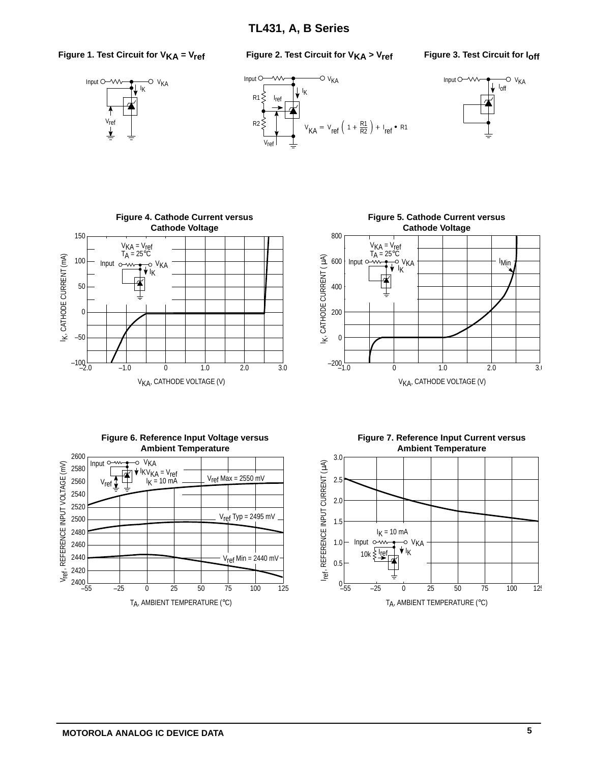### **Figure 1. Test Circuit for VKA = Vref**

**Figure 2. Test Circuit for VKA > Vref**

**Figure 3. Test Circuit for Ioff**









**Figure 5. Cathode Current versus Cathode Voltage**



**Figure 6. Reference Input Voltage versus Ambient Temperature** 2600 V<sub>KA</sub>  $\overline{\circ}$ Input O-ww V<sub>ref</sub>, REFERENCE INPUT VOLTAGE (mV) V , REFERENCE INPUT VOLTAGE (mV) 2580 <sup>I</sup>KV<sub>KA</sub> = V<sub>ref</sub>  $V_{ref}$  Max = 2550 mV  $I<sub>K</sub> = 10 mA$ 2560 Vref 2540 2520  $V_{ref}$  Typ = 2495 mV 2500 2480 2460 2440  $V_{ref}$  Min = 2440 mV 2420 — 2400<br>55–  $-25$ 0 25 50 75 100 125 T<sub>A</sub>, AMBIENT TEMPERATURE (°C)

**Figure 7. Reference Input Current versus Ambient Temperature**

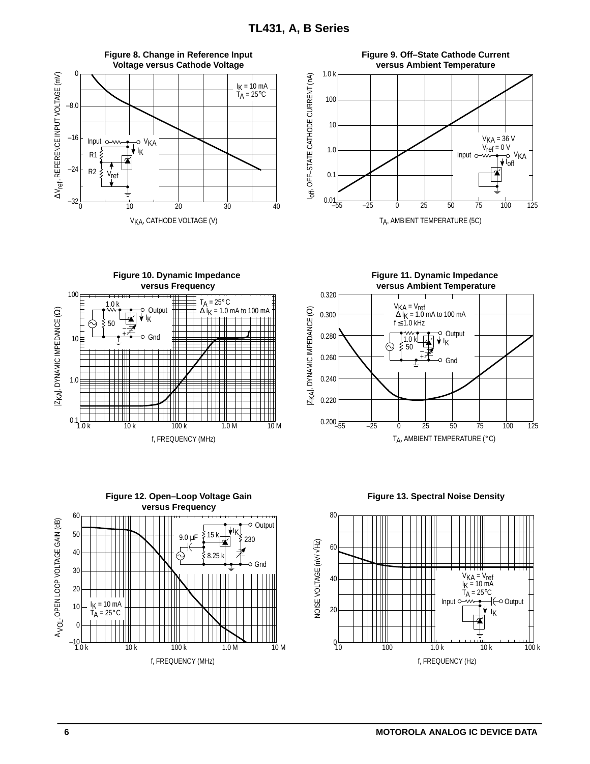







**Figure 13. Spectral Noise Density**

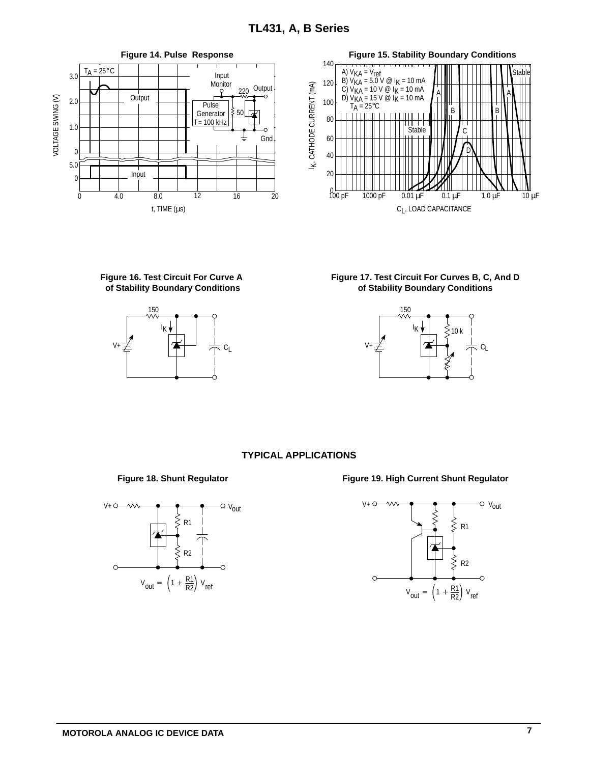

**Figure 16. Test Circuit For Curve A of Stability Boundary Conditions**



**Figure 17. Test Circuit For Curves B, C, And D of Stability Boundary Conditions**



**TYPICAL APPLICATIONS**



**Figure 18. Shunt Regulator Figure 19. High Current Shunt Regulator**

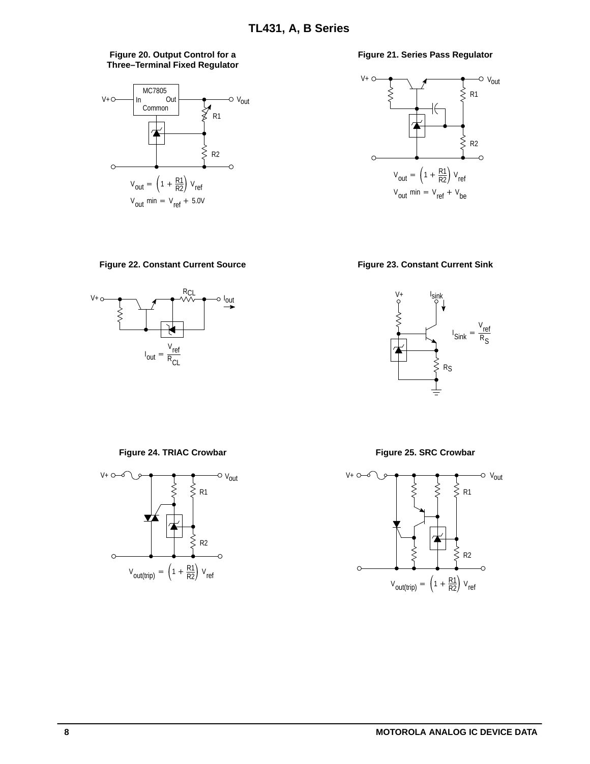### **Figure 20. Output Control for a Three–Terminal Fixed Regulator**



**Figure 21. Series Pass Regulator**



**Figure 22. Constant Current Source Figure 23. Constant Current Sink**







Figure 24. TRIAC Crowbar **Figure 25. SRC Crowbar** Figure 25. SRC Crowbar



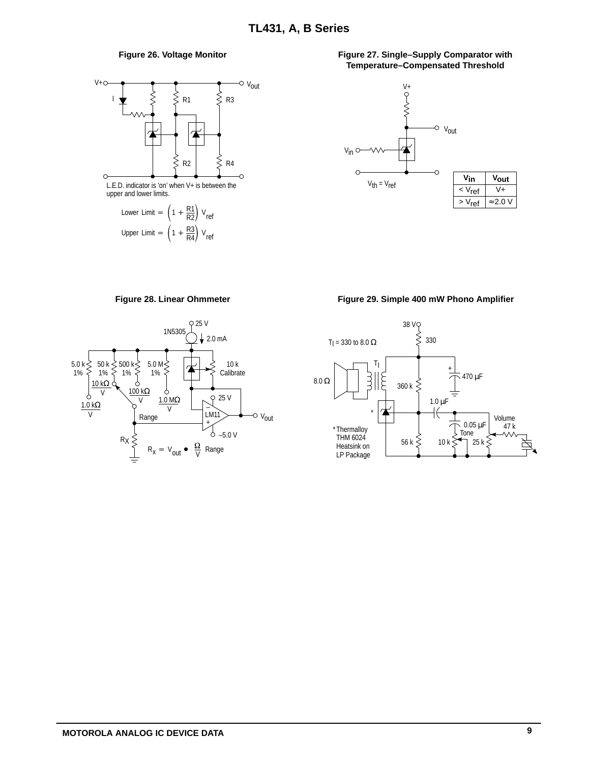









**Figure 28. Linear Ohmmeter Figure 29. Simple 400 mW Phono Amplifier**

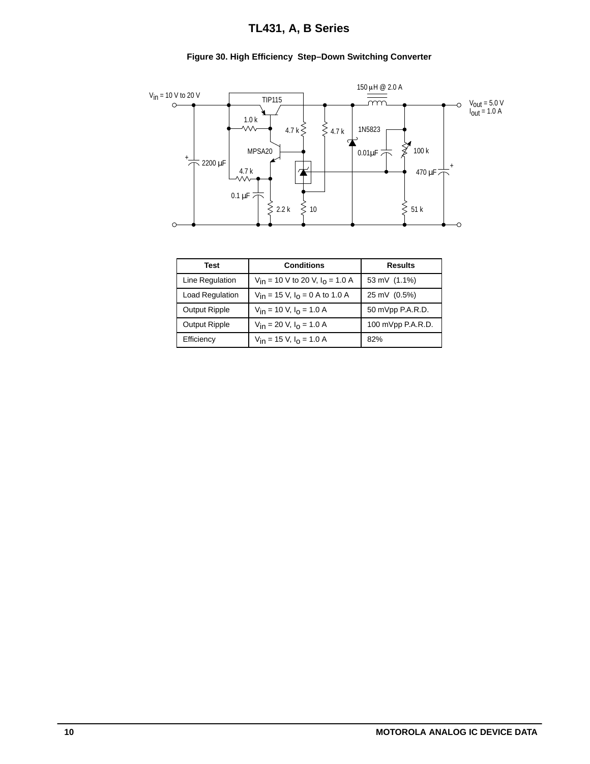### 150 µH @ 2.0 A  $V_{in}$  = 10 V to 20 V TIP115  $\overline{\overline{mn}}$  $\circ$  $V_{\text{out}}$  = 5.0 V l<sub>out</sub> = 1.0 A  $1.0 k$ <br>  $\sqrt{2}$ 4.7 k  $\leq$   $\leq$  4.7 k 1N5823 ↩  $\epsilon$ Ž 100 k MPSA20 0.01µF  $+\frac{1}{\sqrt{2}}$  2200 µF +  $4.7 k$ 470 µF $\frac{1}{\sqrt{1}}$ 体 0.1 µF  $\frac{1}{\sqrt{1}}$  $\begin{array}{c} 2.2 \text{ k} \end{array}$   $\begin{array}{c} 2 \end{array}$  10  $\leqslant$  51 k  $\circ$  $\overline{\circ}$

### **Figure 30. High Efficiency Step–Down Switching Converter**

| Test                 | <b>Conditions</b>                      | <b>Results</b>    |  |  |
|----------------------|----------------------------------------|-------------------|--|--|
| Line Regulation      | $V_{in}$ = 10 V to 20 V, $I_0$ = 1.0 A | 53 mV (1.1%)      |  |  |
| Load Regulation      | $V_{in}$ = 15 V, $I_0$ = 0 A to 1.0 A  | 25 mV (0.5%)      |  |  |
| <b>Output Ripple</b> | $V_{in}$ = 10 V, $I_{0}$ = 1.0 A       | 50 mVpp P.A.R.D.  |  |  |
| <b>Output Ripple</b> | $V_{in}$ = 20 V, $I_0$ = 1.0 A         | 100 mVpp P.A.R.D. |  |  |
| Efficiency           | $V_{in}$ = 15 V, $I_{0}$ = 1.0 A       | 82%               |  |  |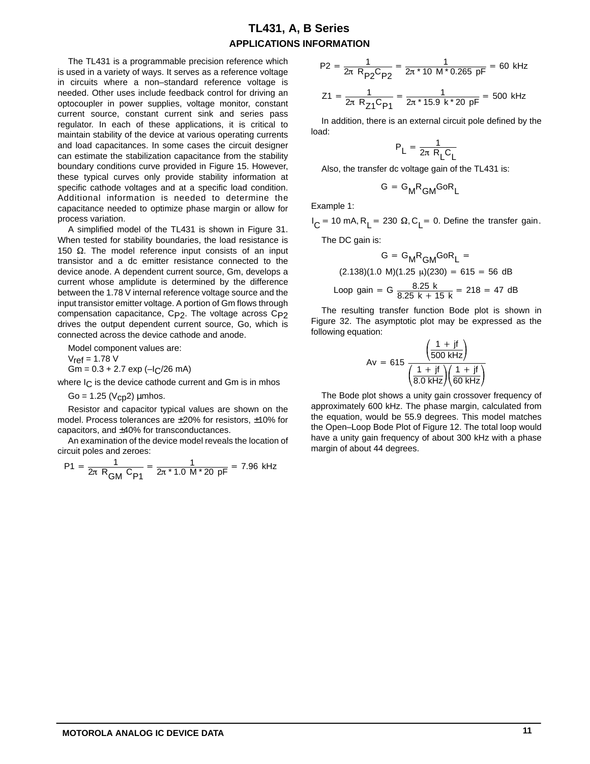### **TL431, A, B Series APPLICATIONS INFORMATION**

The TL431 is a programmable precision reference which is used in a variety of ways. It serves as a reference voltage in circuits where a non–standard reference voltage is needed. Other uses include feedback control for driving an optocoupler in power supplies, voltage monitor, constant current source, constant current sink and series pass regulator. In each of these applications, it is critical to maintain stability of the device at various operating currents and load capacitances. In some cases the circuit designer can estimate the stabilization capacitance from the stability boundary conditions curve provided in Figure 15. However, these typical curves only provide stability information at specific cathode voltages and at a specific load condition. Additional information is needed to determine the capacitance needed to optimize phase margin or allow for process variation.

A simplified model of the TL431 is shown in Figure 31. When tested for stability boundaries, the load resistance is 150  $\Omega$ . The model reference input consists of an input transistor and a dc emitter resistance connected to the device anode. A dependent current source, Gm, develops a current whose amplidute is determined by the difference between the 1.78 V internal reference voltage source and the input transistor emitter voltage. A portion of Gm flows through compensation capacitance, Cp2. The voltage across Cp2 drives the output dependent current source, Go, which is connected across the device cathode and anode.

Model component values are:

 $V_{ref}$  = 1.78 V  $Gm = 0.3 + 2.7 \exp(-I_C/26 \text{ mA})$ 

where  $I_C$  is the device cathode current and Gm is in mhos

Go =  $1.25$  ( $V_{CD}$ 2) µmhos.

Resistor and capacitor typical values are shown on the model. Process tolerances are ±20% for resistors, ±10% for capacitors, and ±40% for transconductances.

An examination of the device model reveals the location of circuit poles and zeroes:

$$
P1 = \frac{1}{2\pi R_{GM} C_{P1}} = \frac{1}{2\pi * 1.0 \text{ M} * 20 \text{ pF}} = 7.96 \text{ kHz}
$$

$$
P2 = \frac{1}{2\pi R_{P2}C_{P2}} = \frac{1}{2\pi * 10 \text{ M} * 0.265 \text{ pF}} = 60 \text{ kHz}
$$

$$
Z1 = \frac{1}{2\pi R_{Z1}C_{P1}} = \frac{1}{2\pi * 15.9 \text{ k} * 20 \text{ pF}} = 500 \text{ kHz}
$$

In addition, there is an external circuit pole defined by the load:

$$
P_L = \frac{1}{2\pi R_L C_L}
$$

Also, the transfer dc voltage gain of the TL431 is:

$$
G = G_{M}R_{GM}G_0R_L
$$

Example 1:

 $I_C = 10$  mA, R<sub>L</sub> = 230  $\Omega$ , C<sub>L</sub> = 0. Define the transfer gain.

The DC gain is:

$$
G = G_{\text{M}}R_{\text{GM}}\text{GoR}_{\text{L}} =
$$
  
(2.138)(1.0 M)(1.25  $\mu$ )(230) = 615 = 56 dB  
Loop gain = G  $\frac{8.25 \text{ k}}{8.25 \text{ k} + 15 \text{ k}} = 218 = 47 \text{ dB}$ 

The resulting transfer function Bode plot is shown in Figure 32. The asymptotic plot may be expressed as the following equation:

$$
Av = 615 \frac{\left(\frac{1 + jf}{500 \text{ kHz}}\right)}{\left(\frac{1 + jf}{8.0 \text{ kHz}}\right)\left(\frac{1 + jf}{60 \text{ kHz}}\right)}
$$

The Bode plot shows a unity gain crossover frequency of approximately 600 kHz. The phase margin, calculated from the equation, would be 55.9 degrees. This model matches the Open–Loop Bode Plot of Figure 12. The total loop would have a unity gain frequency of about 300 kHz with a phase margin of about 44 degrees.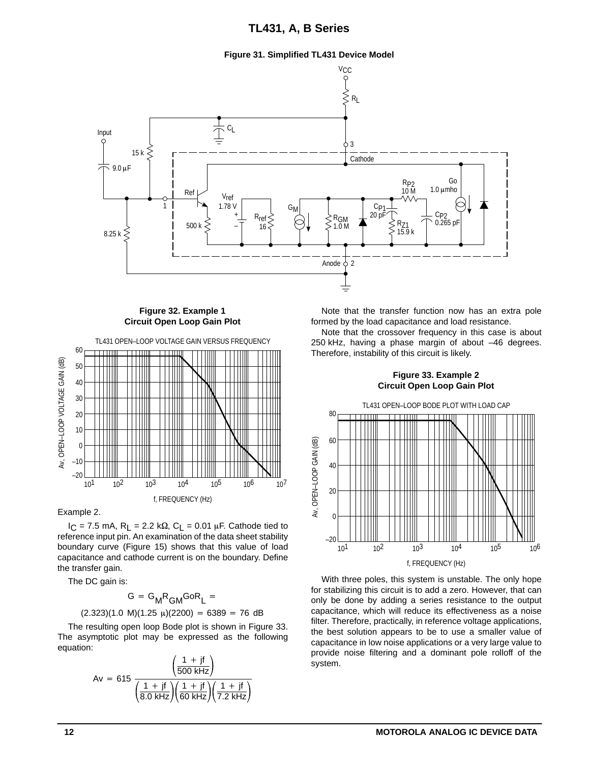**Figure 31. Simplified TL431 Device Model**



### **Figure 32. Example 1 Circuit Open Loop Gain Plot**



Example 2.

 $I_C = 7.5$  mA,  $R_L = 2.2$  k $\Omega$ ,  $C_L = 0.01$   $\mu$ F. Cathode tied to reference input pin. An examination of the data sheet stability boundary curve (Figure 15) shows that this value of load capacitance and cathode current is on the boundary. Define the transfer gain.

The DC gain is:

$$
G = G_{M}R_{GM}GoR_{L} =
$$

 $(2.323)(1.0 M)(1.25 \mu)(2200) = 6389 = 76 dB$ 

The resulting open loop Bode plot is shown in Figure 33. The asymptotic plot may be expressed as the following equation:

$$
Av = 615 \frac{\left(\frac{1 + jf}{500 \text{ kHz}}\right)}{\left(\frac{1 + jf}{8.0 \text{ kHz}}\right)\left(\frac{1 + jf}{60 \text{ kHz}}\right)\left(\frac{1 + jf}{7.2 \text{ kHz}}\right)}
$$

Note that the transfer function now has an extra pole formed by the load capacitance and load resistance.

Note that the crossover frequency in this case is about 250 kHz, having a phase margin of about –46 degrees. Therefore, instability of this circuit is likely.

**Figure 33. Example 2**



With three poles, this system is unstable. The only hope for stabilizing this circuit is to add a zero. However, that can only be done by adding a series resistance to the output capacitance, which will reduce its effectiveness as a noise filter. Therefore, practically, in reference voltage applications, the best solution appears to be to use a smaller value of capacitance in low noise applications or a very large value to provide noise filtering and a dominant pole rolloff of the system.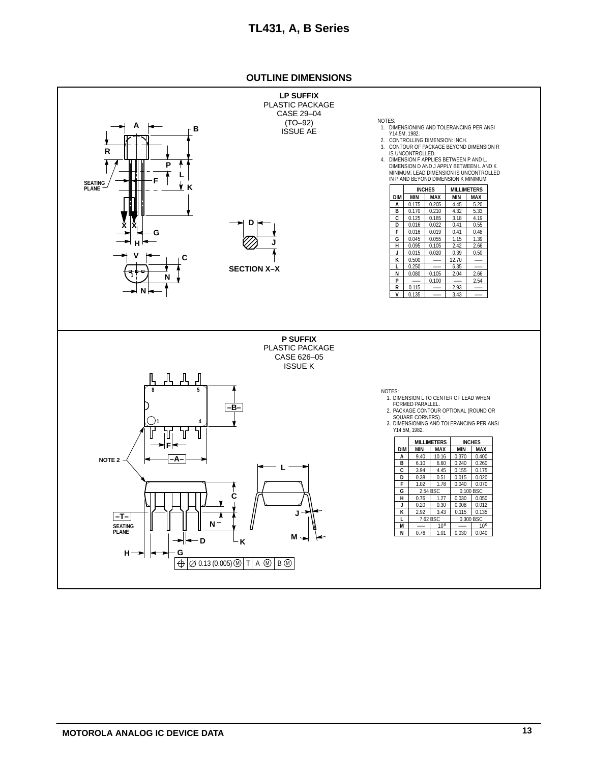### **OUTLINE DIMENSIONS**

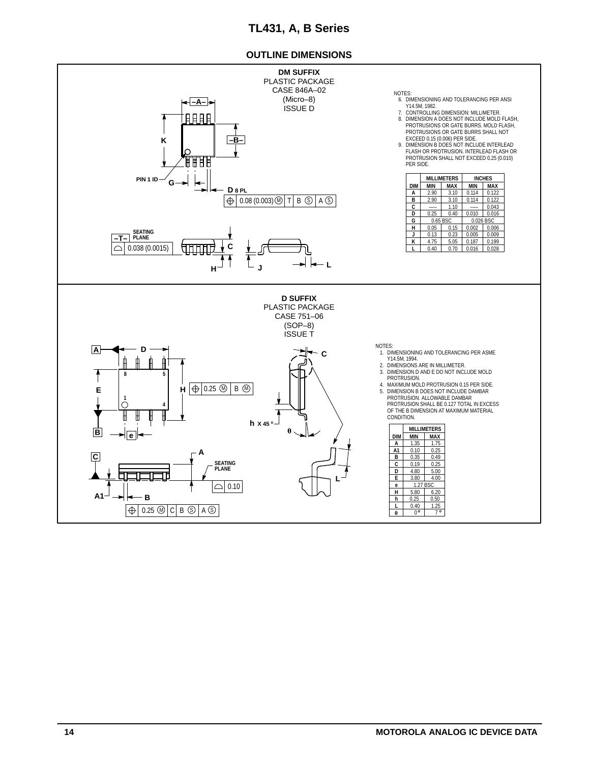### **OUTLINE DIMENSIONS**

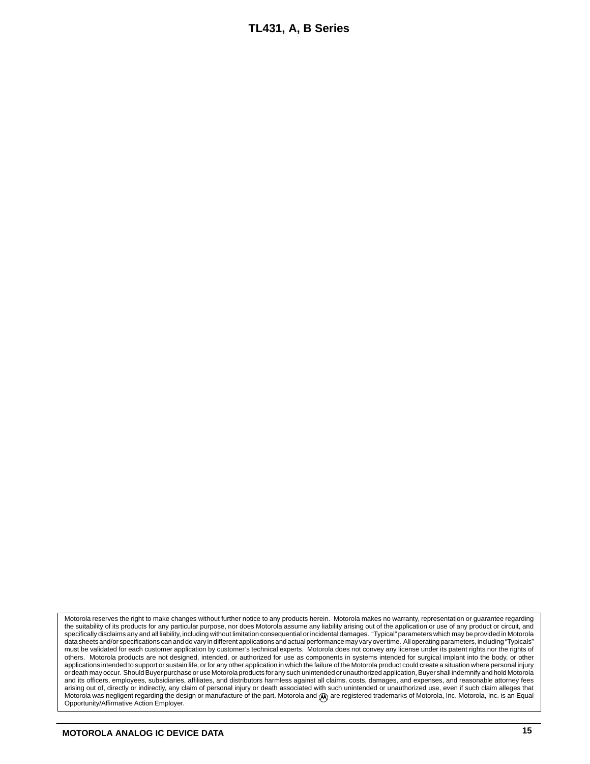Motorola reserves the right to make changes without further notice to any products herein. Motorola makes no warranty, representation or guarantee regarding the suitability of its products for any particular purpose, nor does Motorola assume any liability arising out of the application or use of any product or circuit, and specifically disclaims any and all liability, including without limitation consequential or incidental damages. "Typical" parameters which may be provided in Motorola data sheets and/or specifications can and do vary in different applications and actual performance may vary over time. All operating parameters, including "Typicals" must be validated for each customer application by customer's technical experts. Motorola does not convey any license under its patent rights nor the rights of others. Motorola products are not designed, intended, or authorized for use as components in systems intended for surgical implant into the body, or other applications intended to support or sustain life, or for any other application in which the failure of the Motorola product could create a situation where personal injury or death may occur. Should Buyer purchase or use Motorola products for any such unintended or unauthorized application, Buyer shall indemnify and hold Motorola and its officers, employees, subsidiaries, affiliates, and distributors harmless against all claims, costs, damages, and expenses, and reasonable attorney fees<br>arising out of, directly or indirectly, any claim of personal Motorola was negligent regarding the design or manufacture of the part. Motorola and  $\bigotimes$  are registered trademarks of Motorola, Inc. Motorola, Inc. is an Equal Opportunity/Affirmative Action Employer.